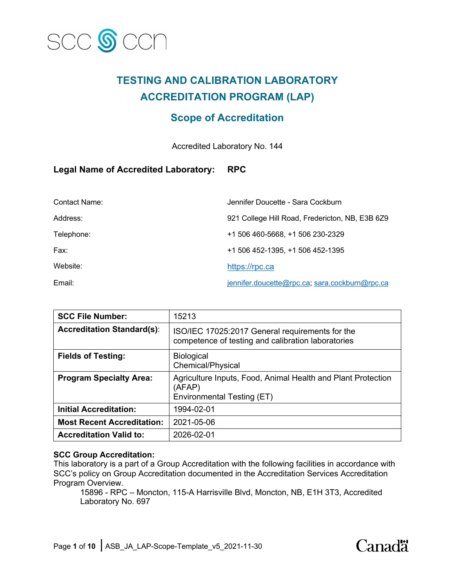

# **TESTING AND CALIBRATION LABORATORY ACCREDITATION PROGRAM (LAP)**

# **Scope of Accreditation**

Accredited Laboratory No. 144

## **Legal Name of Accredited Laboratory: RPC**

| Contact Name: | Jennifer Doucette - Sara Cockburn               |
|---------------|-------------------------------------------------|
| Address:      | 921 College Hill Road, Fredericton, NB, E3B 6Z9 |
| Telephone:    | +1 506 460-5668, +1 506 230-2329                |
| Fax:          | +1 506 452-1395, +1 506 452-1395                |
| Website:      | https://rpc.ca                                  |
| Email:        | jennifer.doucette@rpc.ca, sara.cockburn@rpc.ca  |

| <b>SCC File Number:</b>           | 15213                                                                                                 |
|-----------------------------------|-------------------------------------------------------------------------------------------------------|
| <b>Accreditation Standard(s):</b> | ISO/IEC 17025:2017 General requirements for the<br>competence of testing and calibration laboratories |
| <b>Fields of Testing:</b>         | <b>Biological</b><br>Chemical/Physical                                                                |
| <b>Program Specialty Area:</b>    | Agriculture Inputs, Food, Animal Health and Plant Protection<br>(AFAP)<br>Environmental Testing (ET)  |
| <b>Initial Accreditation:</b>     | 1994-02-01                                                                                            |
| <b>Most Recent Accreditation:</b> | 2021-05-06                                                                                            |
| <b>Accreditation Valid to:</b>    | 2026-02-01                                                                                            |

## **SCC Group Accreditation:**

This laboratory is a part of a Group Accreditation with the following facilities in accordance with SCC's policy on Group Accreditation documented in the Accreditation Services Accreditation Program Overview.

15896 - RPC – Moncton, 115-A Harrisville Blvd, Moncton, NB, E1H 3T3, Accredited Laboratory No. 697

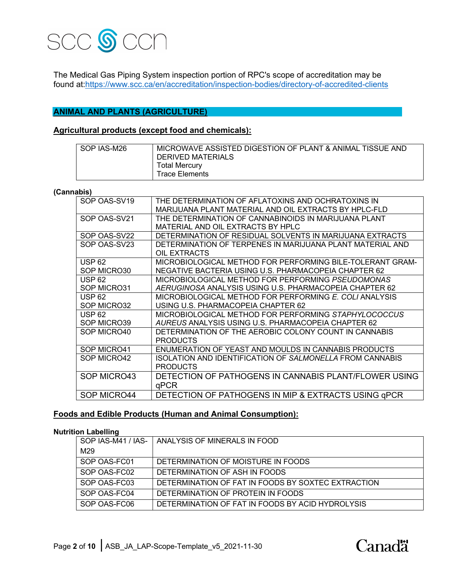

The Medical Gas Piping System inspection portion of RPC's scope of accreditation may be found at:https://www.scc.ca/en/accreditation/inspection-bodies/directory-of-accredited-clients

## **ANIMAL AND PLANTS (AGRICULTURE)**

## **Agricultural products (except food and chemicals):**

| l SOP IAS-M26 | MICROWAVE ASSISTED DIGESTION OF PLANT & ANIMAL TISSUE AND<br><b>DERIVED MATERIALS</b> |
|---------------|---------------------------------------------------------------------------------------|
|               | <b>Total Mercury</b><br>Trace Elements                                                |

#### **(Cannabis)**

| SOP OAS-SV19  | THE DETERMINATION OF AFLATOXINS AND OCHRATOXINS IN<br>MARIJUANA PLANT MATERIAL AND OIL EXTRACTS BY HPLC-FLD |
|---------------|-------------------------------------------------------------------------------------------------------------|
| SOP OAS-SV21  | THE DETERMINATION OF CANNABINOIDS IN MARIJUANA PLANT                                                        |
|               | MATERIAL AND OIL EXTRACTS BY HPLC                                                                           |
| SOP OAS-SV22  | DETERMINATION OF RESIDUAL SOLVENTS IN MARIJUANA EXTRACTS                                                    |
| SOP OAS-SV23  | DETERMINATION OF TERPENES IN MARIJUANA PLANT MATERIAL AND                                                   |
|               | OIL EXTRACTS                                                                                                |
| <b>USP 62</b> | MICROBIOLOGICAL METHOD FOR PERFORMING BILE-TOLERANT GRAM-                                                   |
| SOP MICRO30   | NEGATIVE BACTERIA USING U.S. PHARMACOPEIA CHAPTER 62                                                        |
|               |                                                                                                             |
| <b>USP 62</b> | MICROBIOLOGICAL METHOD FOR PERFORMING PSEUDOMONAS                                                           |
| SOP MICRO31   | AERUGINOSA ANALYSIS USING U.S. PHARMACOPEIA CHAPTER 62                                                      |
| <b>USP 62</b> | MICROBIOLOGICAL METHOD FOR PERFORMING E. COLI ANALYSIS                                                      |
| SOP MICRO32   | USING U.S. PHARMACOPEIA CHAPTER 62                                                                          |
| <b>USP 62</b> | MICROBIOLOGICAL METHOD FOR PERFORMING STAPHYLOCOCCUS                                                        |
| SOP MICRO39   | AUREUS ANALYSIS USING U.S. PHARMACOPEIA CHAPTER 62                                                          |
| SOP MICRO40   | DETERMINATION OF THE AEROBIC COLONY COUNT IN CANNABIS                                                       |
|               | <b>PRODUCTS</b>                                                                                             |
| SOP MICRO41   | ENUMERATION OF YEAST AND MOULDS IN CANNABIS PRODUCTS                                                        |
| SOP MICRO42   | ISOLATION AND IDENTIFICATION OF SALMONELLA FROM CANNABIS                                                    |
|               | <b>PRODUCTS</b>                                                                                             |
| SOP MICRO43   | DETECTION OF PATHOGENS IN CANNABIS PLANT/FLOWER USING                                                       |
|               | qPCR                                                                                                        |
| SOP MICRO44   | DETECTION OF PATHOGENS IN MIP & EXTRACTS USING GPCR                                                         |

## **Foods and Edible Products (Human and Animal Consumption):**

#### **Nutrition Labelling**

| SOP IAS-M41 / IAS- | ANALYSIS OF MINERALS IN FOOD                       |
|--------------------|----------------------------------------------------|
| M29                |                                                    |
| SOP OAS-FC01       | DETERMINATION OF MOISTURE IN FOODS                 |
| SOP OAS-FC02       | DETERMINATION OF ASH IN FOODS                      |
| SOP OAS-FC03       | DETERMINATION OF FAT IN FOODS BY SOXTEC EXTRACTION |
| SOP OAS-FC04       | DETERMINATION OF PROTEIN IN FOODS                  |
| SOP OAS-FC06       | DETERMINATION OF FAT IN FOODS BY ACID HYDROLYSIS   |

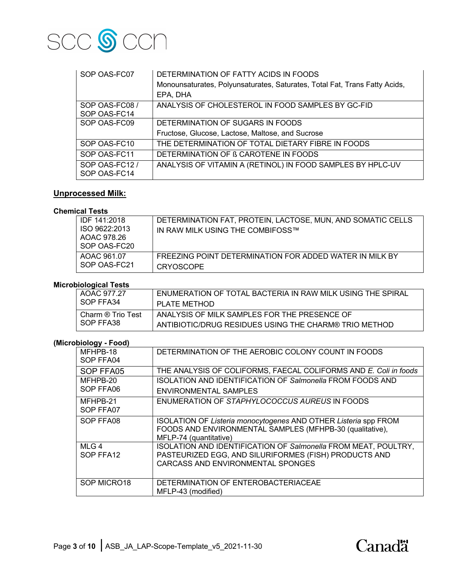

| SOP OAS-FC07                   | DETERMINATION OF FATTY ACIDS IN FOODS                                      |
|--------------------------------|----------------------------------------------------------------------------|
|                                | Monounsaturates, Polyunsaturates, Saturates, Total Fat, Trans Fatty Acids, |
|                                | EPA, DHA                                                                   |
| SOP OAS-FC08 /                 | ANALYSIS OF CHOLESTEROL IN FOOD SAMPLES BY GC-FID                          |
| SOP OAS-FC14                   |                                                                            |
| SOP OAS-FC09                   | DETERMINATION OF SUGARS IN FOODS                                           |
|                                | Fructose, Glucose, Lactose, Maltose, and Sucrose                           |
| SOP OAS-FC10                   | THE DETERMINATION OF TOTAL DIETARY FIBRE IN FOODS                          |
| SOP OAS-FC11                   | DETERMINATION OF B CAROTENE IN FOODS                                       |
| SOP OAS-FC12 /<br>SOP OAS-FC14 | ANALYSIS OF VITAMIN A (RETINOL) IN FOOD SAMPLES BY HPLC-UV                 |

# **Unprocessed Milk:**

#### **Chemical Tests**

| IDF 141:2018<br>ISO 9622:2013<br>AOAC 978.26<br>SOP OAS-FC20 | DETERMINATION FAT, PROTEIN, LACTOSE, MUN, AND SOMATIC CELLS<br>IN RAW MILK USING THE COMBIFOSS™ |
|--------------------------------------------------------------|-------------------------------------------------------------------------------------------------|
| AOAC 961.07                                                  | FREEZING POINT DETERMINATION FOR ADDED WATER IN MILK BY                                         |
| SOP OAS-FC21                                                 | <b>CRYOSCOPE</b>                                                                                |

## **Microbiological Tests**

| AOAC 977.27       | ENUMERATION OF TOTAL BACTERIA IN RAW MILK USING THE SPIRAL |
|-------------------|------------------------------------------------------------|
| I SOP FFA34       | PLATE METHOD                                               |
| Charm ® Trio Test | ANALYSIS OF MILK SAMPLES FOR THE PRESENCE OF               |
| I SOP FFA38       | ANTIBIOTIC/DRUG RESIDUES USING THE CHARM® TRIO METHOD      |

## **(Microbiology - Food)**

| MFHPB-18    | DETERMINATION OF THE AEROBIC COLONY COUNT IN FOODS                    |
|-------------|-----------------------------------------------------------------------|
| SOP FFA04   |                                                                       |
| SOP FFA05   | THE ANALYSIS OF COLIFORMS, FAECAL COLIFORMS AND E. Coli in foods      |
| MFHPB-20    | <b>ISOLATION AND IDENTIFICATION OF Salmonella FROM FOODS AND</b>      |
| SOP FFA06   | <b>ENVIRONMENTAL SAMPLES</b>                                          |
| MFHPB-21    | ENUMERATION OF STAPHYLOCOCCUS AUREUS IN FOODS                         |
| SOP FFA07   |                                                                       |
| SOP FFA08   | ISOLATION OF Listeria monocytogenes AND OTHER Listeria spp FROM       |
|             | FOODS AND ENVIRONMENTAL SAMPLES (MFHPB-30 (qualitative),              |
|             | MFLP-74 (quantitative)                                                |
| $MLG$ 4     | <b>ISOLATION AND IDENTIFICATION OF Salmonella FROM MEAT, POULTRY,</b> |
| SOP FFA12   | PASTEURIZED EGG, AND SILURIFORMES (FISH) PRODUCTS AND                 |
|             | CARCASS AND ENVIRONMENTAL SPONGES                                     |
|             |                                                                       |
| SOP MICRO18 | DETERMINATION OF ENTEROBACTERIACEAE                                   |
|             | MFLP-43 (modified)                                                    |

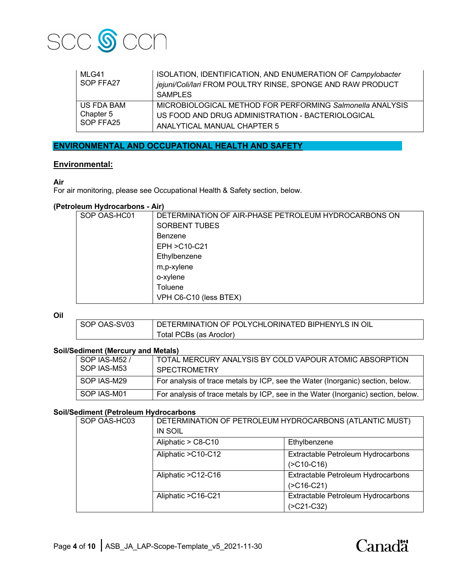

| MLG41<br>SOP FFA27 | ISOLATION, IDENTIFICATION, AND ENUMERATION OF Campylobacter<br>jejuni/Coli/lari FROM POULTRY RINSE, SPONGE AND RAW PRODUCT<br><b>SAMPLES</b> |
|--------------------|----------------------------------------------------------------------------------------------------------------------------------------------|
| US FDA BAM         | MICROBIOLOGICAL METHOD FOR PERFORMING Salmonella ANALYSIS                                                                                    |
| Chapter 5          | US FOOD AND DRUG ADMINISTRATION - BACTERIOLOGICAL                                                                                            |
| SOP FFA25          | ANALYTICAL MANUAL CHAPTER 5                                                                                                                  |

## **ENVIRONMENTAL AND OCCUPATIONAL HEALTH AND SAFETY**

## **Environmental:**

## **Air**

For air monitoring, please see Occupational Health & Safety section, below.

## **(Petroleum Hydrocarbons - Air)**

| SOP OAS-HC01 | DETERMINATION OF AIR-PHASE PETROLEUM HYDROCARBONS ON |
|--------------|------------------------------------------------------|
|              | <b>SORBENT TUBES</b>                                 |
|              | <b>Benzene</b>                                       |
|              | EPH > C10-C21                                        |
|              | Ethylbenzene                                         |
|              | m,p-xylene                                           |
|              | o-xylene                                             |
|              | Toluene                                              |
|              | VPH C6-C10 (less BTEX)                               |

**Oil**

| SOP OAS-SV03 | DETERMINATION OF POLYCHLORINATED BIPHENYLS IN OIL |
|--------------|---------------------------------------------------|
|              | Total PCBs (as Aroclor)                           |

## **Soil/Sediment (Mercury and Metals)**

| SOP IAS-M52 /<br>SOP IAS-M53 | TOTAL MERCURY ANALYSIS BY COLD VAPOUR ATOMIC ABSORPTION<br><b>SPECTROMETRY</b>    |
|------------------------------|-----------------------------------------------------------------------------------|
| SOP IAS-M29                  | For analysis of trace metals by ICP, see the Water (Inorganic) section, below.    |
| SOP IAS-M01                  | For analysis of trace metals by ICP, see in the Water (Inorganic) section, below. |

#### **Soil/Sediment (Petroleum Hydrocarbons**

| SOP OAS-HC03 | DETERMINATION OF PETROLEUM HYDROCARBONS (ATLANTIC MUST)<br><b>IN SOIL</b> |                                    |
|--------------|---------------------------------------------------------------------------|------------------------------------|
|              | Aliphatic > C8-C10                                                        | Ethylbenzene                       |
|              | Aliphatic > C10-C12                                                       | Extractable Petroleum Hydrocarbons |
|              |                                                                           | $( >C10-C16)$                      |
|              | Aliphatic > C12-C16                                                       | Extractable Petroleum Hydrocarbons |
|              |                                                                           | $( >C16-C21)$                      |
|              | Aliphatic > C16-C21                                                       | Extractable Petroleum Hydrocarbons |
|              |                                                                           | $( >C21-C32)$                      |

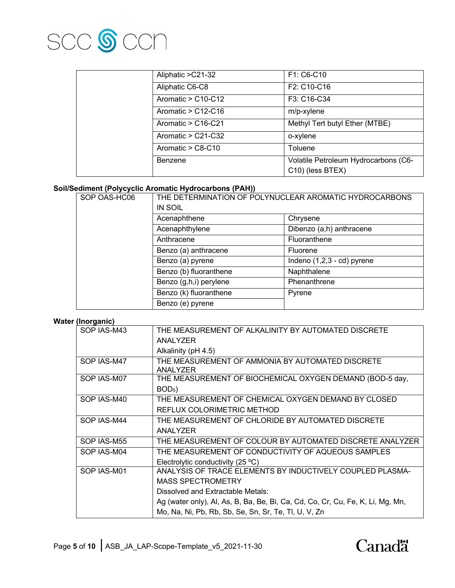

| Aliphatic > C21-32   | F1: C6-C10                                               |
|----------------------|----------------------------------------------------------|
| Aliphatic C6-C8      | F2: C10-C16                                              |
| Aromatic > C10-C12   | F3: C16-C34                                              |
| Aromatic $>$ C12-C16 | m/p-xylene                                               |
| Aromatic $>$ C16-C21 | Methyl Tert butyl Ether (MTBE)                           |
| Aromatic $>$ C21-C32 | o-xylene                                                 |
| Aromatic > C8-C10    | Toluene                                                  |
| Benzene              | Volatile Petroleum Hydrocarbons (C6-<br>C10) (less BTEX) |

## **Soil/Sediment (Polycyclic Aromatic Hydrocarbons (PAH))**

| SOP OAS-HC06 | THE DETERMINATION OF POLYNUCLEAR AROMATIC HYDROCARBONS<br><b>IN SOIL</b> |                              |
|--------------|--------------------------------------------------------------------------|------------------------------|
|              | Acenaphthene                                                             | Chrysene                     |
|              | Acenaphthylene                                                           | Dibenzo (a,h) anthracene     |
|              | Anthracene                                                               | Fluoranthene                 |
|              | Benzo (a) anthracene                                                     | Fluorene                     |
|              | Benzo (a) pyrene                                                         | Indeno $(1,2,3 - cd)$ pyrene |
|              | Benzo (b) fluoranthene                                                   | Naphthalene                  |
|              | Benzo (g,h,i) perylene                                                   | Phenanthrene                 |
|              | Benzo (k) fluoranthene                                                   | Pyrene                       |
|              | Benzo (e) pyrene                                                         |                              |

#### **Water (Inorganic)**

| v. yuv      |                                                                                |
|-------------|--------------------------------------------------------------------------------|
| SOP IAS-M43 | THE MEASUREMENT OF ALKALINITY BY AUTOMATED DISCRETE                            |
|             | ANALYZER                                                                       |
|             | Alkalinity (pH 4.5)                                                            |
| SOP IAS-M47 | THE MEASUREMENT OF AMMONIA BY AUTOMATED DISCRETE                               |
|             | ANALYZER                                                                       |
| SOP IAS-M07 | THE MEASUREMENT OF BIOCHEMICAL OXYGEN DEMAND (BOD-5 day,                       |
|             | BOD <sub>5</sub>                                                               |
| SOP IAS-M40 | THE MEASUREMENT OF CHEMICAL OXYGEN DEMAND BY CLOSED                            |
|             | REFLUX COLORIMETRIC METHOD                                                     |
| SOP IAS-M44 | THE MEASUREMENT OF CHLORIDE BY AUTOMATED DISCRETE                              |
|             | ANALYZER                                                                       |
| SOP IAS-M55 | THE MEASUREMENT OF COLOUR BY AUTOMATED DISCRETE ANALYZER                       |
| SOP IAS-M04 | THE MEASUREMENT OF CONDUCTIVITY OF AQUEOUS SAMPLES                             |
|             | Electrolytic conductivity $(25 °C)$                                            |
| SOP IAS-M01 | ANALYSIS OF TRACE ELEMENTS BY INDUCTIVELY COUPLED PLASMA-                      |
|             | <b>MASS SPECTROMETRY</b>                                                       |
|             | Dissolved and Extractable Metals:                                              |
|             | Ag (water only), Al, As, B, Ba, Be, Bi, Ca, Cd, Co, Cr, Cu, Fe, K, Li, Mg, Mn, |
|             | Mo, Na, Ni, Pb, Rb, Sb, Se, Sn, Sr, Te, Tl, U, V, Zn                           |

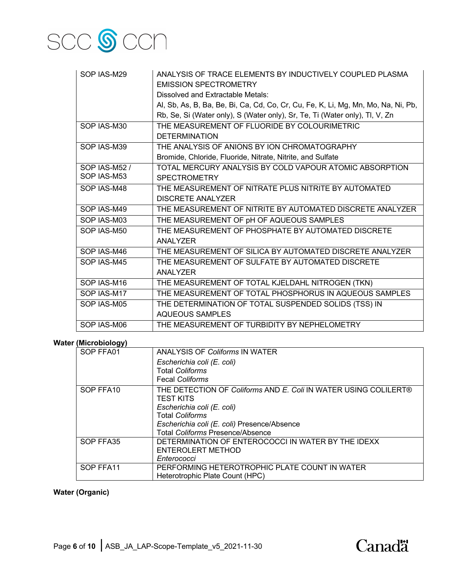

| SOP IAS-M29   | ANALYSIS OF TRACE ELEMENTS BY INDUCTIVELY COUPLED PLASMA<br><b>EMISSION SPECTROMETRY</b> |
|---------------|------------------------------------------------------------------------------------------|
|               | Dissolved and Extractable Metals:                                                        |
|               | Al, Sb, As, B, Ba, Be, Bi, Ca, Cd, Co, Cr, Cu, Fe, K, Li, Mg, Mn, Mo, Na, Ni, Pb,        |
|               | Rb, Se, Si (Water only), S (Water only), Sr, Te, Ti (Water only), Tl, V, Zn              |
| SOP IAS-M30   | THE MEASUREMENT OF FLUORIDE BY COLOURIMETRIC                                             |
|               | <b>DETERMINATION</b>                                                                     |
|               |                                                                                          |
| SOP IAS-M39   | THE ANALYSIS OF ANIONS BY ION CHROMATOGRAPHY                                             |
|               | Bromide, Chloride, Fluoride, Nitrate, Nitrite, and Sulfate                               |
| SOP IAS-M52 / | TOTAL MERCURY ANALYSIS BY COLD VAPOUR ATOMIC ABSORPTION                                  |
| SOP IAS-M53   | <b>SPECTROMETRY</b>                                                                      |
| SOP IAS-M48   | THE MEASUREMENT OF NITRATE PLUS NITRITE BY AUTOMATED                                     |
|               | <b>DISCRETE ANALYZER</b>                                                                 |
| SOP IAS-M49   | THE MEASUREMENT OF NITRITE BY AUTOMATED DISCRETE ANALYZER                                |
| SOP IAS-M03   | THE MEASUREMENT OF pH OF AQUEOUS SAMPLES                                                 |
| SOP IAS-M50   | THE MEASUREMENT OF PHOSPHATE BY AUTOMATED DISCRETE                                       |
|               | <b>ANALYZER</b>                                                                          |
| SOP IAS-M46   | THE MEASUREMENT OF SILICA BY AUTOMATED DISCRETE ANALYZER                                 |
| SOP IAS-M45   | THE MEASUREMENT OF SULFATE BY AUTOMATED DISCRETE                                         |
|               | ANALYZER                                                                                 |
| SOP IAS-M16   | THE MEASUREMENT OF TOTAL KJELDAHL NITROGEN (TKN)                                         |
| SOP IAS-M17   | THE MEASUREMENT OF TOTAL PHOSPHORUS IN AQUEOUS SAMPLES                                   |
| SOP IAS-M05   | THE DETERMINATION OF TOTAL SUSPENDED SOLIDS (TSS) IN                                     |
|               | AQUEQUS SAMPLES                                                                          |
| SOP IAS-M06   | THE MEASUREMENT OF TURBIDITY BY NEPHELOMETRY                                             |

## **Water (Microbiology)**

| ,,,,,,,,, |                                                                 |
|-----------|-----------------------------------------------------------------|
| SOP FFA01 | <b>ANALYSIS OF Coliforms IN WATER</b>                           |
|           | Escherichia coli (E. coli)                                      |
|           | <b>Total Coliforms</b>                                          |
|           | <b>Fecal Coliforms</b>                                          |
| SOP FFA10 | THE DETECTION OF Coliforms AND E. Coli IN WATER USING COLILERT® |
|           | <b>TEST KITS</b>                                                |
|           | Escherichia coli (E. coli)                                      |
|           | <b>Total Coliforms</b>                                          |
|           | Escherichia coli (E. coli) Presence/Absence                     |
|           | <b>Total Coliforms Presence/Absence</b>                         |
| SOP FFA35 | DETERMINATION OF ENTEROCOCCI IN WATER BY THE IDEXX              |
|           | ENTEROLERT METHOD                                               |
|           | Enterococci                                                     |
| SOP FFA11 | PERFORMING HETEROTROPHIC PLATE COUNT IN WATER                   |
|           | Heterotrophic Plate Count (HPC)                                 |

## **Water (Organic)**

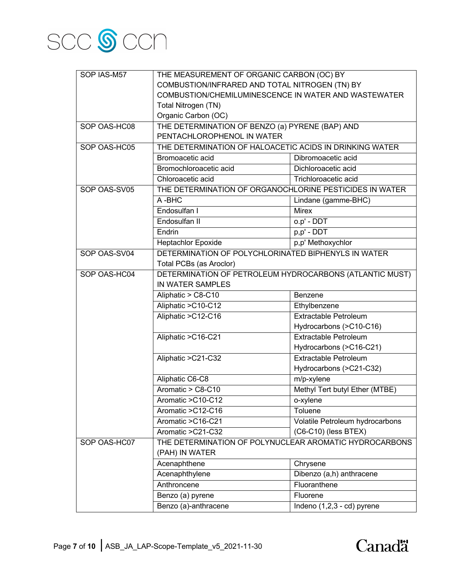

| SOP IAS-M57  | THE MEASUREMENT OF ORGANIC CARBON (OC) BY                                   |                                 |
|--------------|-----------------------------------------------------------------------------|---------------------------------|
|              | COMBUSTION/INFRARED AND TOTAL NITROGEN (TN) BY                              |                                 |
|              | COMBUSTION/CHEMILUMINESCENCE IN WATER AND WASTEWATER<br>Total Nitrogen (TN) |                                 |
|              |                                                                             |                                 |
|              | Organic Carbon (OC)                                                         |                                 |
| SOP OAS-HC08 | THE DETERMINATION OF BENZO (a) PYRENE (BAP) AND                             |                                 |
|              | PENTACHLOROPHENOL IN WATER                                                  |                                 |
| SOP OAS-HC05 | THE DETERMINATION OF HALOACETIC ACIDS IN DRINKING WATER                     |                                 |
|              | Bromoacetic acid                                                            | Dibromoacetic acid              |
|              | Bromochloroacetic acid                                                      | Dichloroacetic acid             |
|              | Chloroacetic acid                                                           | Trichloroacetic acid            |
| SOP OAS-SV05 | THE DETERMINATION OF ORGANOCHLORINE PESTICIDES IN WATER                     |                                 |
|              | A-BHC                                                                       | Lindane (gamme-BHC)             |
|              | Endosulfan I                                                                | <b>Mirex</b>                    |
|              | Endosulfan II                                                               | o.p' - DDT                      |
|              | Endrin                                                                      | p,p' - DDT                      |
|              | <b>Heptachlor Epoxide</b>                                                   | p,p' Methoxychlor               |
| SOP OAS-SV04 | DETERMINATION OF POLYCHLORINATED BIPHENYLS IN WATER                         |                                 |
|              | Total PCBs (as Aroclor)                                                     |                                 |
| SOP OAS-HC04 | DETERMINATION OF PETROLEUM HYDROCARBONS (ATLANTIC MUST)                     |                                 |
|              | IN WATER SAMPLES                                                            |                                 |
|              | Aliphatic > C8-C10                                                          | Benzene                         |
|              | Aliphatic > C10-C12                                                         | Ethylbenzene                    |
|              | Aliphatic >C12-C16                                                          | <b>Extractable Petroleum</b>    |
|              |                                                                             | Hydrocarbons (>C10-C16)         |
|              | Aliphatic > C16-C21                                                         | <b>Extractable Petroleum</b>    |
|              |                                                                             | Hydrocarbons (>C16-C21)         |
|              | Aliphatic >C21-C32                                                          | <b>Extractable Petroleum</b>    |
|              |                                                                             | Hydrocarbons (>C21-C32)         |
|              | Aliphatic C6-C8                                                             | m/p-xylene                      |
|              | Aromatic $>$ C8-C10                                                         | Methyl Tert butyl Ether (MTBE)  |
|              | Aromatic > C10-C12                                                          | o-xylene                        |
|              | Aromatic > C12-C16                                                          | Toluene                         |
|              | Aromatic > C16-C21                                                          | Volatile Petroleum hydrocarbons |
|              | Aromatic > C21-C32                                                          | $(C6-C10)$ (less BTEX)          |
| SOP OAS-HC07 | THE DETERMINATION OF POLYNUCLEAR AROMATIC HYDROCARBONS<br>(PAH) IN WATER    |                                 |
|              | Acenaphthene                                                                | Chrysene                        |
|              | Acenaphthylene                                                              | Dibenzo (a,h) anthracene        |
|              | Anthroncene                                                                 | Fluoranthene                    |
|              | Benzo (a) pyrene                                                            | Fluorene                        |
|              |                                                                             |                                 |
|              | Benzo (a)-anthracene                                                        | Indeno (1,2,3 - cd) pyrene      |

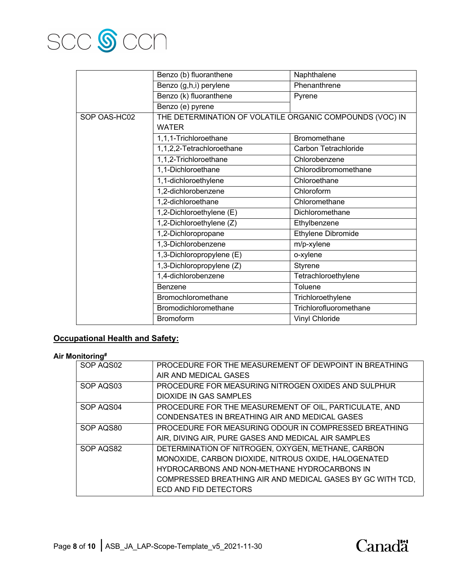

|              | Benzo (b) fluoranthene                                   | Naphthalene            |
|--------------|----------------------------------------------------------|------------------------|
|              | Benzo (g,h,i) perylene                                   | Phenanthrene           |
|              | Benzo (k) fluoranthene                                   | Pyrene                 |
|              | Benzo (e) pyrene                                         |                        |
| SOP OAS-HC02 | THE DETERMINATION OF VOLATILE ORGANIC COMPOUNDS (VOC) IN |                        |
|              | <b>WATER</b>                                             |                        |
|              | 1,1,1-Trichloroethane                                    | <b>Bromomethane</b>    |
|              | 1,1,2,2-Tetrachloroethane                                | Carbon Tetrachloride   |
|              | 1,1,2-Trichloroethane                                    | Chlorobenzene          |
|              | 1,1-Dichloroethane                                       | Chlorodibromomethane   |
|              | 1,1-dichloroethylene                                     | Chloroethane           |
|              | 1,2-dichlorobenzene                                      | Chloroform             |
|              | 1,2-dichloroethane                                       | Chloromethane          |
|              | 1,2-Dichloroethylene (E)                                 | Dichloromethane        |
|              | 1,2-Dichloroethylene (Z)                                 | Ethylbenzene           |
|              | 1,2-Dichloropropane                                      | Ethylene Dibromide     |
|              | 1,3-Dichlorobenzene                                      | m/p-xylene             |
|              | 1,3-Dichloropropylene (E)                                | o-xylene               |
|              | 1,3-Dichloropropylene (Z)                                | <b>Styrene</b>         |
|              | 1,4-dichlorobenzene                                      | Tetrachloroethylene    |
|              | Benzene                                                  | Toluene                |
|              | Bromochloromethane                                       | Trichloroethylene      |
|              | Bromodichloromethane                                     | Trichlorofluoromethane |
|              | <b>Bromoform</b>                                         | Vinyl Chloride         |

## **Occupational Health and Safety:**

## **Air Monitoring#**

| - 5       |                                                            |
|-----------|------------------------------------------------------------|
| SOP AQS02 | PROCEDURE FOR THE MEASUREMENT OF DEWPOINT IN BREATHING     |
|           | AIR AND MEDICAL GASES                                      |
| SOP AQS03 | PROCEDURE FOR MEASURING NITROGEN OXIDES AND SULPHUR        |
|           | DIOXIDE IN GAS SAMPLES                                     |
| SOP AQS04 | PROCEDURE FOR THE MEASUREMENT OF OIL, PARTICULATE, AND     |
|           | CONDENSATES IN BREATHING AIR AND MEDICAL GASES             |
| SOP AQS80 | PROCEDURE FOR MEASURING ODOUR IN COMPRESSED BREATHING      |
|           | AIR, DIVING AIR, PURE GASES AND MEDICAL AIR SAMPLES        |
| SOP AQS82 | DETERMINATION OF NITROGEN, OXYGEN, METHANE, CARBON         |
|           | MONOXIDE, CARBON DIOXIDE, NITROUS OXIDE, HALOGENATED       |
|           | HYDROCARBONS AND NON-METHANE HYDROCARBONS IN               |
|           | COMPRESSED BREATHING AIR AND MEDICAL GASES BY GC WITH TCD, |
|           | ECD AND FID DETECTORS                                      |

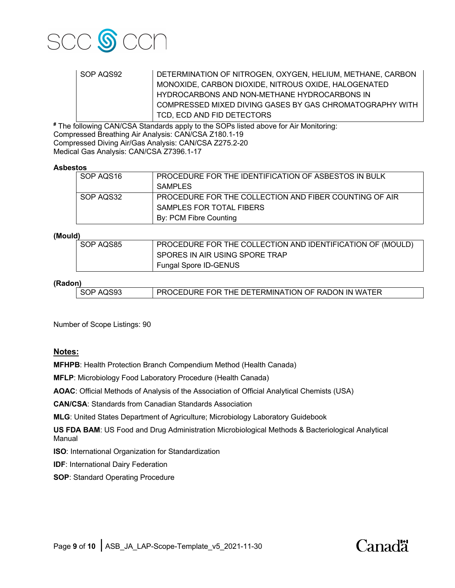

| SOP AQS92 | DETERMINATION OF NITROGEN, OXYGEN, HELIUM, METHANE, CARBON |
|-----------|------------------------------------------------------------|
|           | MONOXIDE, CARBON DIOXIDE, NITROUS OXIDE, HALOGENATED       |
|           | HYDROCARBONS AND NON-METHANE HYDROCARBONS IN               |
|           | COMPRESSED MIXED DIVING GASES BY GAS CHROMATOGRAPHY WITH   |
|           | TCD. ECD AND FID DETECTORS                                 |

**#** The following CAN/CSA Standards apply to the SOPs listed above for Air Monitoring: Compressed Breathing Air Analysis: CAN/CSA Z180.1-19 Compressed Diving Air/Gas Analysis: CAN/CSA Z275.2-20 Medical Gas Analysis: CAN/CSA Z7396.1-17

#### **Asbestos**

| SOP AQS16 | <b>PROCEDURE FOR THE IDENTIFICATION OF ASBESTOS IN BULK</b> |
|-----------|-------------------------------------------------------------|
|           | <b>SAMPLES</b>                                              |
| SOP AQS32 | PROCEDURE FOR THE COLLECTION AND FIBER COUNTING OF AIR      |
|           | SAMPLES FOR TOTAL FIBERS                                    |
|           | By: PCM Fibre Counting                                      |

#### **(Mould)**

| SOP AQS85 | PROCEDURE FOR THE COLLECTION AND IDENTIFICATION OF (MOULD) |
|-----------|------------------------------------------------------------|
|           | SPORES IN AIR USING SPORE TRAP                             |
|           | Fungal Spore ID-GENUS                                      |

#### **(Radon)**

| SOP AQS93 | <b>FROCEDURE FOR THE DETERMINATION OF RADON IN WATER</b> |  |
|-----------|----------------------------------------------------------|--|
|           |                                                          |  |

Number of Scope Listings: 90

## **Notes:**

**MFHPB**: Health Protection Branch Compendium Method (Health Canada)

**MFLP**: Microbiology Food Laboratory Procedure (Health Canada)

**AOAC**: Official Methods of Analysis of the Association of Official Analytical Chemists (USA)

**CAN/CSA**: Standards from Canadian Standards Association

**MLG**: United States Department of Agriculture; Microbiology Laboratory Guidebook

**US FDA BAM**: US Food and Drug Administration Microbiological Methods & Bacteriological Analytical Manual

**ISO**: International Organization for Standardization

**IDF:** International Dairy Federation

**SOP**: Standard Operating Procedure

# Canadä